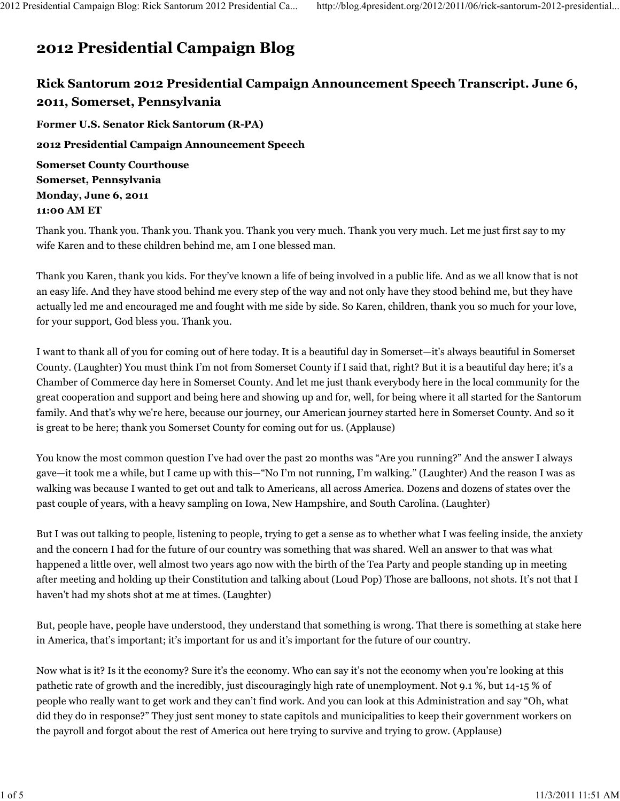## 2012 Presidential Campaign Blog

## Rick Santorum 2012 Presidential Campaign Announcement Speech Transcript. June 6, 2011, Somerset, Pennsylvania

Former U.S. Senator Rick Santorum (R-PA) 2012 Presidential Campaign Announcement Speech Somerset County Courthouse Somerset, Pennsylvania Monday, June 6, 2011 11:00 AM ET

Thank you. Thank you. Thank you. Thank you. Thank you very much. Thank you very much. Let me just first say to my wife Karen and to these children behind me, am I one blessed man.

Thank you Karen, thank you kids. For they've known a life of being involved in a public life. And as we all know that is not an easy life. And they have stood behind me every step of the way and not only have they stood behind me, but they have actually led me and encouraged me and fought with me side by side. So Karen, children, thank you so much for your love, for your support, God bless you. Thank you.

I want to thank all of you for coming out of here today. It is a beautiful day in Somerset—it's always beautiful in Somerset County. (Laughter) You must think I'm not from Somerset County if I said that, right? But it is a beautiful day here; it's a Chamber of Commerce day here in Somerset County. And let me just thank everybody here in the local community for the great cooperation and support and being here and showing up and for, well, for being where it all started for the Santorum family. And that's why we're here, because our journey, our American journey started here in Somerset County. And so it is great to be here; thank you Somerset County for coming out for us. (Applause)

You know the most common question I've had over the past 20 months was "Are you running?" And the answer I always gave—it took me a while, but I came up with this—"No I'm not running, I'm walking." (Laughter) And the reason I was as walking was because I wanted to get out and talk to Americans, all across America. Dozens and dozens of states over the past couple of years, with a heavy sampling on Iowa, New Hampshire, and South Carolina. (Laughter)

But I was out talking to people, listening to people, trying to get a sense as to whether what I was feeling inside, the anxiety and the concern I had for the future of our country was something that was shared. Well an answer to that was what happened a little over, well almost two years ago now with the birth of the Tea Party and people standing up in meeting after meeting and holding up their Constitution and talking about (Loud Pop) Those are balloons, not shots. It's not that I haven't had my shots shot at me at times. (Laughter)

But, people have, people have understood, they understand that something is wrong. That there is something at stake here in America, that's important; it's important for us and it's important for the future of our country.

Now what is it? Is it the economy? Sure it's the economy. Who can say it's not the economy when you're looking at this pathetic rate of growth and the incredibly, just discouragingly high rate of unemployment. Not 9.1 %, but 14-15 % of people who really want to get work and they can't find work. And you can look at this Administration and say "Oh, what did they do in response?" They just sent money to state capitols and municipalities to keep their government workers on the payroll and forgot about the rest of America out here trying to survive and trying to grow. (Applause)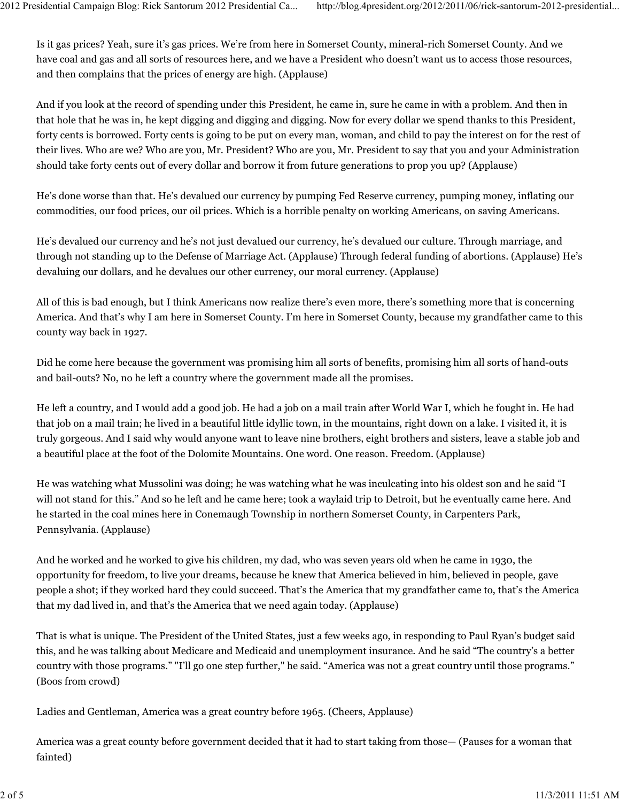Is it gas prices? Yeah, sure it's gas prices. We're from here in Somerset County, mineral-rich Somerset County. And we have coal and gas and all sorts of resources here, and we have a President who doesn't want us to access those resources, and then complains that the prices of energy are high. (Applause)

And if you look at the record of spending under this President, he came in, sure he came in with a problem. And then in that hole that he was in, he kept digging and digging and digging. Now for every dollar we spend thanks to this President, forty cents is borrowed. Forty cents is going to be put on every man, woman, and child to pay the interest on for the rest of their lives. Who are we? Who are you, Mr. President? Who are you, Mr. President to say that you and your Administration should take forty cents out of every dollar and borrow it from future generations to prop you up? (Applause)

He's done worse than that. He's devalued our currency by pumping Fed Reserve currency, pumping money, inflating our commodities, our food prices, our oil prices. Which is a horrible penalty on working Americans, on saving Americans.

He's devalued our currency and he's not just devalued our currency, he's devalued our culture. Through marriage, and through not standing up to the Defense of Marriage Act. (Applause) Through federal funding of abortions. (Applause) He's devaluing our dollars, and he devalues our other currency, our moral currency. (Applause)

All of this is bad enough, but I think Americans now realize there's even more, there's something more that is concerning America. And that's why I am here in Somerset County. I'm here in Somerset County, because my grandfather came to this county way back in 1927.

Did he come here because the government was promising him all sorts of benefits, promising him all sorts of hand-outs and bail-outs? No, no he left a country where the government made all the promises.

He left a country, and I would add a good job. He had a job on a mail train after World War I, which he fought in. He had that job on a mail train; he lived in a beautiful little idyllic town, in the mountains, right down on a lake. I visited it, it is truly gorgeous. And I said why would anyone want to leave nine brothers, eight brothers and sisters, leave a stable job and a beautiful place at the foot of the Dolomite Mountains. One word. One reason. Freedom. (Applause)

He was watching what Mussolini was doing; he was watching what he was inculcating into his oldest son and he said "I will not stand for this." And so he left and he came here; took a waylaid trip to Detroit, but he eventually came here. And he started in the coal mines here in Conemaugh Township in northern Somerset County, in Carpenters Park, Pennsylvania. (Applause)

And he worked and he worked to give his children, my dad, who was seven years old when he came in 1930, the opportunity for freedom, to live your dreams, because he knew that America believed in him, believed in people, gave people a shot; if they worked hard they could succeed. That's the America that my grandfather came to, that's the America that my dad lived in, and that's the America that we need again today. (Applause)

That is what is unique. The President of the United States, just a few weeks ago, in responding to Paul Ryan's budget said this, and he was talking about Medicare and Medicaid and unemployment insurance. And he said "The country's a better country with those programs." "I'll go one step further," he said. "America was not a great country until those programs." (Boos from crowd)

Ladies and Gentleman, America was a great country before 1965. (Cheers, Applause)

America was a great county before government decided that it had to start taking from those— (Pauses for a woman that fainted)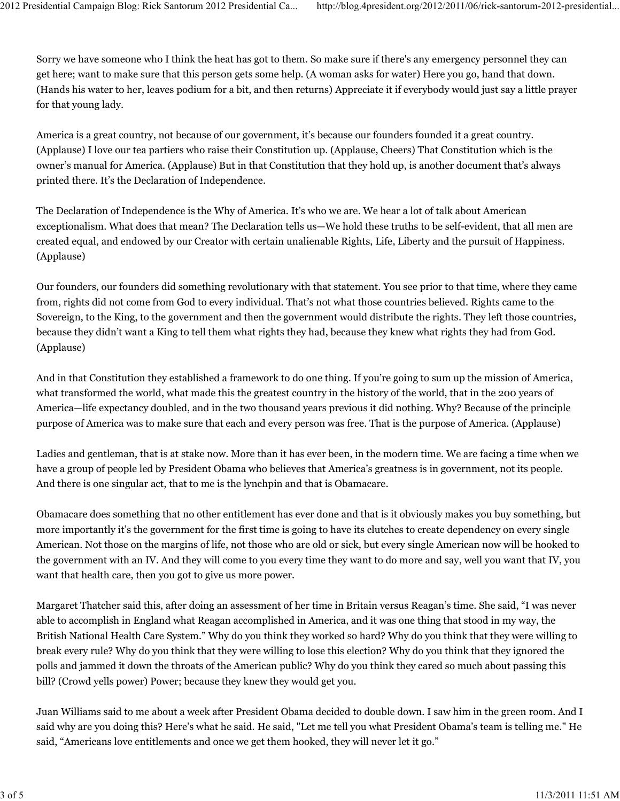Sorry we have someone who I think the heat has got to them. So make sure if there's any emergency personnel they can get here; want to make sure that this person gets some help. (A woman asks for water) Here you go, hand that down. (Hands his water to her, leaves podium for a bit, and then returns) Appreciate it if everybody would just say a little prayer for that young lady.

America is a great country, not because of our government, it's because our founders founded it a great country. (Applause) I love our tea partiers who raise their Constitution up. (Applause, Cheers) That Constitution which is the owner's manual for America. (Applause) But in that Constitution that they hold up, is another document that's always printed there. It's the Declaration of Independence.

The Declaration of Independence is the Why of America. It's who we are. We hear a lot of talk about American exceptionalism. What does that mean? The Declaration tells us—We hold these truths to be self-evident, that all men are created equal, and endowed by our Creator with certain unalienable Rights, Life, Liberty and the pursuit of Happiness. (Applause)

Our founders, our founders did something revolutionary with that statement. You see prior to that time, where they came from, rights did not come from God to every individual. That's not what those countries believed. Rights came to the Sovereign, to the King, to the government and then the government would distribute the rights. They left those countries, because they didn't want a King to tell them what rights they had, because they knew what rights they had from God. (Applause)

And in that Constitution they established a framework to do one thing. If you're going to sum up the mission of America, what transformed the world, what made this the greatest country in the history of the world, that in the 200 years of America—life expectancy doubled, and in the two thousand years previous it did nothing. Why? Because of the principle purpose of America was to make sure that each and every person was free. That is the purpose of America. (Applause)

Ladies and gentleman, that is at stake now. More than it has ever been, in the modern time. We are facing a time when we have a group of people led by President Obama who believes that America's greatness is in government, not its people. And there is one singular act, that to me is the lynchpin and that is Obamacare.

Obamacare does something that no other entitlement has ever done and that is it obviously makes you buy something, but more importantly it's the government for the first time is going to have its clutches to create dependency on every single American. Not those on the margins of life, not those who are old or sick, but every single American now will be hooked to the government with an IV. And they will come to you every time they want to do more and say, well you want that IV, you want that health care, then you got to give us more power.

Margaret Thatcher said this, after doing an assessment of her time in Britain versus Reagan's time. She said, "I was never able to accomplish in England what Reagan accomplished in America, and it was one thing that stood in my way, the British National Health Care System." Why do you think they worked so hard? Why do you think that they were willing to break every rule? Why do you think that they were willing to lose this election? Why do you think that they ignored the polls and jammed it down the throats of the American public? Why do you think they cared so much about passing this bill? (Crowd yells power) Power; because they knew they would get you.

Juan Williams said to me about a week after President Obama decided to double down. I saw him in the green room. And I said why are you doing this? Here's what he said. He said, "Let me tell you what President Obama's team is telling me." He said, "Americans love entitlements and once we get them hooked, they will never let it go."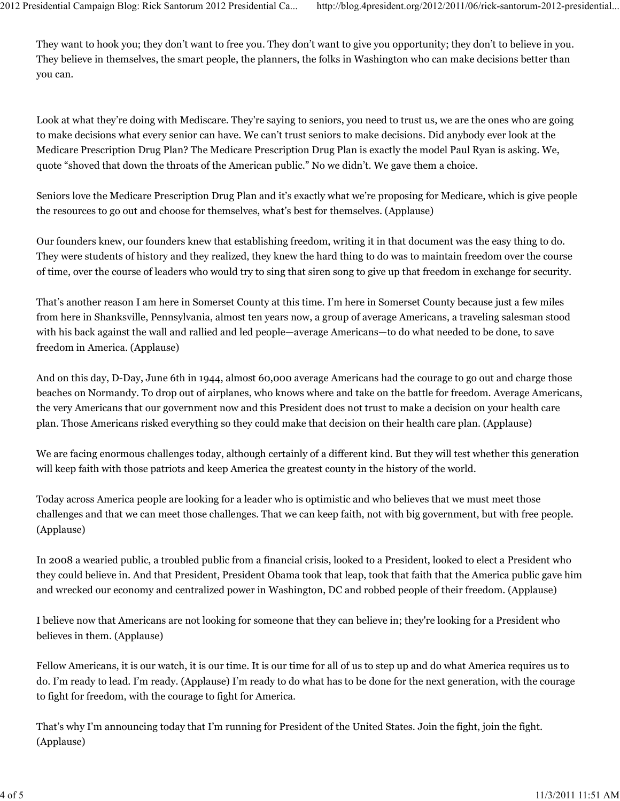They want to hook you; they don't want to free you. They don't want to give you opportunity; they don't to believe in you. They believe in themselves, the smart people, the planners, the folks in Washington who can make decisions better than you can.

Look at what they're doing with Mediscare. They're saying to seniors, you need to trust us, we are the ones who are going to make decisions what every senior can have. We can't trust seniors to make decisions. Did anybody ever look at the Medicare Prescription Drug Plan? The Medicare Prescription Drug Plan is exactly the model Paul Ryan is asking. We, quote "shoved that down the throats of the American public." No we didn't. We gave them a choice.

Seniors love the Medicare Prescription Drug Plan and it's exactly what we're proposing for Medicare, which is give people the resources to go out and choose for themselves, what's best for themselves. (Applause)

Our founders knew, our founders knew that establishing freedom, writing it in that document was the easy thing to do. They were students of history and they realized, they knew the hard thing to do was to maintain freedom over the course of time, over the course of leaders who would try to sing that siren song to give up that freedom in exchange for security.

That's another reason I am here in Somerset County at this time. I'm here in Somerset County because just a few miles from here in Shanksville, Pennsylvania, almost ten years now, a group of average Americans, a traveling salesman stood with his back against the wall and rallied and led people—average Americans—to do what needed to be done, to save freedom in America. (Applause)

And on this day, D-Day, June 6th in 1944, almost 60,000 average Americans had the courage to go out and charge those beaches on Normandy. To drop out of airplanes, who knows where and take on the battle for freedom. Average Americans, the very Americans that our government now and this President does not trust to make a decision on your health care plan. Those Americans risked everything so they could make that decision on their health care plan. (Applause)

We are facing enormous challenges today, although certainly of a different kind. But they will test whether this generation will keep faith with those patriots and keep America the greatest county in the history of the world.

Today across America people are looking for a leader who is optimistic and who believes that we must meet those challenges and that we can meet those challenges. That we can keep faith, not with big government, but with free people. (Applause)

In 2008 a wearied public, a troubled public from a financial crisis, looked to a President, looked to elect a President who they could believe in. And that President, President Obama took that leap, took that faith that the America public gave him and wrecked our economy and centralized power in Washington, DC and robbed people of their freedom. (Applause)

I believe now that Americans are not looking for someone that they can believe in; they're looking for a President who believes in them. (Applause)

Fellow Americans, it is our watch, it is our time. It is our time for all of us to step up and do what America requires us to do. I'm ready to lead. I'm ready. (Applause) I'm ready to do what has to be done for the next generation, with the courage to fight for freedom, with the courage to fight for America.

That's why I'm announcing today that I'm running for President of the United States. Join the fight, join the fight. (Applause)